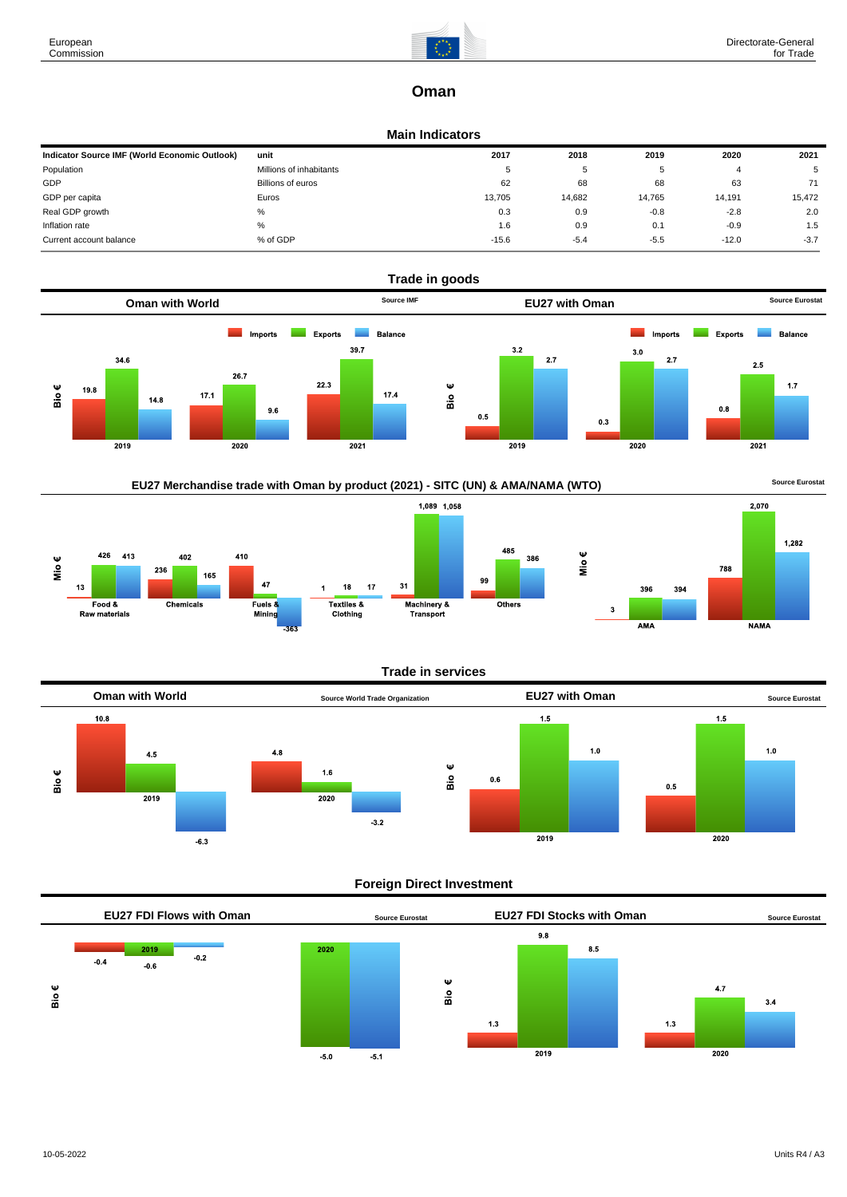

# **Oman**

#### **Main Indicators**

| Indicator Source IMF (World Economic Outlook) | unit                    | 2017    | 2018   | 2019   | 2020    | 2021   |
|-----------------------------------------------|-------------------------|---------|--------|--------|---------|--------|
| Population                                    | Millions of inhabitants | c       | 5      |        |         | 5      |
| GDP                                           | Billions of euros       | 62      | 68     | 68     | 63      | 71     |
| GDP per capita                                | Euros                   | 13,705  | 14,682 | 14.765 | 14,191  | 15,472 |
| Real GDP growth                               | %                       | 0.3     | 0.9    | $-0.8$ | $-2.8$  | 2.0    |
| Inflation rate                                | %                       | 1.6     | 0.9    | 0.1    | $-0.9$  | 1.5    |
| Current account balance                       | % of GDP                | $-15.6$ | $-5.4$ | $-5.5$ | $-12.0$ | $-3.7$ |











## **Foreign Direct Investment**